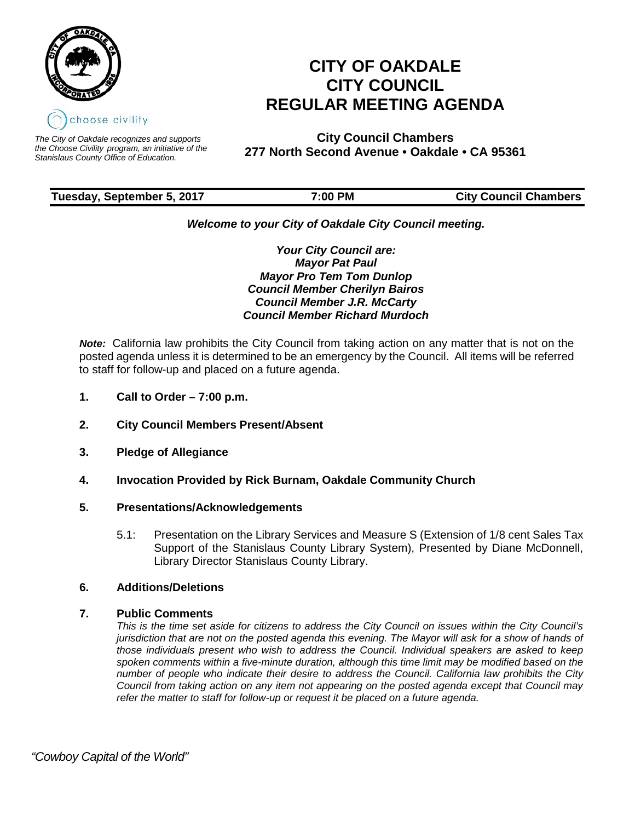

*The City of Oakdale recognizes and supports the Choose Civility program, an initiative of the Stanislaus County Office of Education.*

# **CITY OF OAKDALE CITY COUNCIL REGULAR MEETING AGENDA**

**City Council Chambers 277 North Second Avenue • Oakdale • CA 95361**

| Tuesday, September 5, 2017 | 7:00 PM | <b>City Council Chambers</b> |
|----------------------------|---------|------------------------------|
|                            |         |                              |

# *Welcome to your City of Oakdale City Council meeting.*

*Your City Council are: Mayor Pat Paul Mayor Pro Tem Tom Dunlop Council Member Cherilyn Bairos Council Member J.R. McCarty Council Member Richard Murdoch*

*Note:* California law prohibits the City Council from taking action on any matter that is not on the posted agenda unless it is determined to be an emergency by the Council. All items will be referred to staff for follow-up and placed on a future agenda.

- **1. Call to Order – 7:00 p.m.**
- **2. City Council Members Present/Absent**
- **3. Pledge of Allegiance**
- **4. Invocation Provided by Rick Burnam, Oakdale Community Church**

# **5. Presentations/Acknowledgements**

5.1: Presentation on the Library Services and Measure S (Extension of 1/8 cent Sales Tax Support of the Stanislaus County Library System), Presented by Diane McDonnell, Library Director Stanislaus County Library.

# **6. Additions/Deletions**

# **7. Public Comments**

*This is the time set aside for citizens to address the City Council on issues within the City Council's* jurisdiction that are not on the posted agenda this evening. The Mayor will ask for a show of hands of *those individuals present who wish to address the Council. Individual speakers are asked to keep spoken comments within a five-minute duration, although this time limit may be modified based on the number of people who indicate their desire to address the Council. California law prohibits the City Council from taking action on any item not appearing on the posted agenda except that Council may refer the matter to staff for follow-up or request it be placed on a future agenda.*

 *"Cowboy Capital of the World"*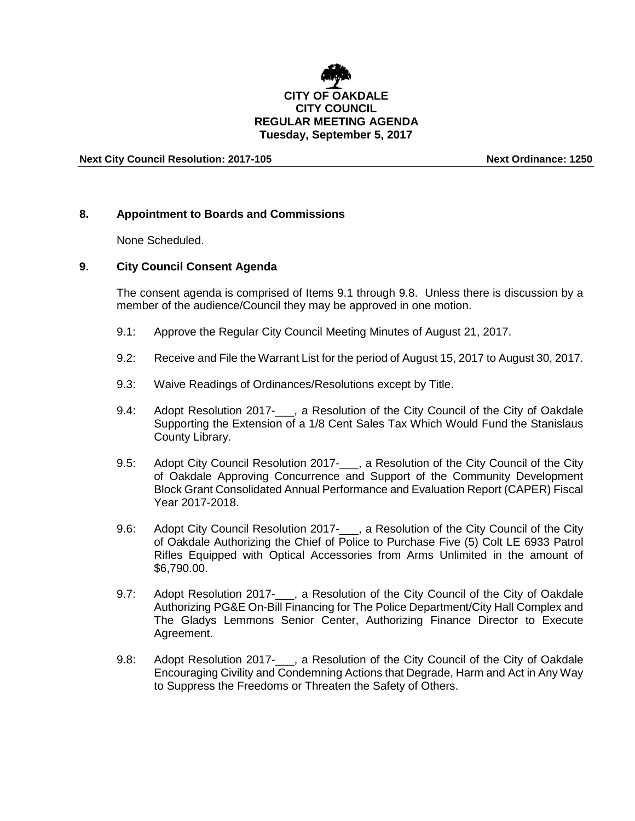

# **Tuesday, September 5, 2017**

# **Next City Council Resolution: 2017-105 Next Ordinance: 1250**

# **8. Appointment to Boards and Commissions**

None Scheduled.

#### **9. City Council Consent Agenda**

The consent agenda is comprised of Items 9.1 through 9.8. Unless there is discussion by a member of the audience/Council they may be approved in one motion.

- 9.1: Approve the Regular City Council Meeting Minutes of August 21, 2017.
- 9.2: Receive and File the Warrant List for the period of August 15, 2017 to August 30, 2017.
- 9.3: Waive Readings of Ordinances/Resolutions except by Title.
- 9.4: Adopt Resolution 2017- , a Resolution of the City Council of the City of Oakdale Supporting the Extension of a 1/8 Cent Sales Tax Which Would Fund the Stanislaus County Library.
- 9.5: Adopt City Council Resolution 2017-<sub>1, a</sub> Resolution of the City Council of the City of Oakdale Approving Concurrence and Support of the Community Development Block Grant Consolidated Annual Performance and Evaluation Report (CAPER) Fiscal Year 2017-2018.
- 9.6: Adopt City Council Resolution 2017-<sub>1, a</sub> Resolution of the City Council of the City of Oakdale Authorizing the Chief of Police to Purchase Five (5) Colt LE 6933 Patrol Rifles Equipped with Optical Accessories from Arms Unlimited in the amount of \$6,790.00.
- 9.7: Adopt Resolution 2017- . a Resolution of the City Council of the City of Oakdale Authorizing PG&E On-Bill Financing for The Police Department/City Hall Complex and The Gladys Lemmons Senior Center, Authorizing Finance Director to Execute Agreement.
- 9.8: Adopt Resolution 2017-\_\_\_, a Resolution of the City Council of the City of Oakdale Encouraging Civility and Condemning Actions that Degrade, Harm and Act in Any Way to Suppress the Freedoms or Threaten the Safety of Others.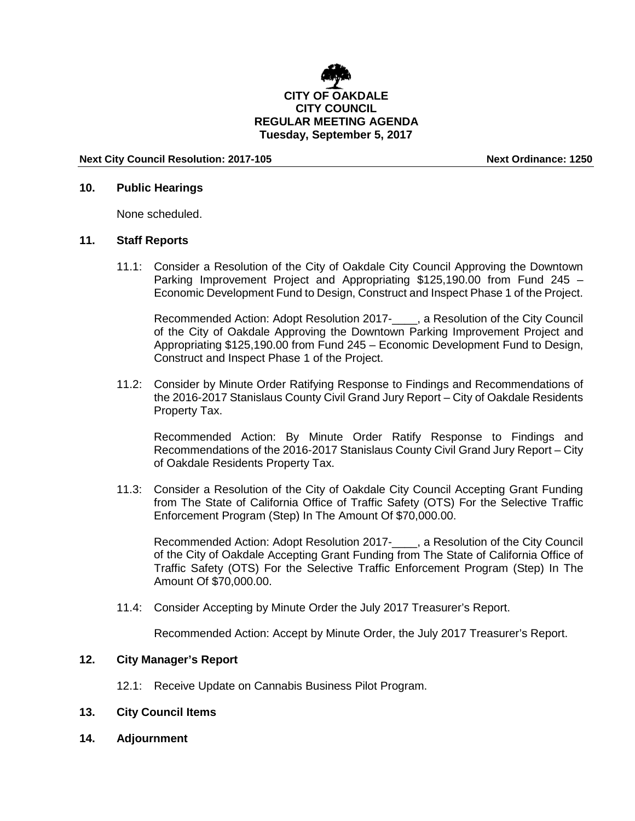

# **Next City Council Resolution: 2017-105 Next Ordinance: 1250**

#### **10. Public Hearings**

None scheduled.

# **11. Staff Reports**

11.1: Consider a Resolution of the City of Oakdale City Council Approving the Downtown Parking Improvement Project and Appropriating \$125,190.00 from Fund 245 – Economic Development Fund to Design, Construct and Inspect Phase 1 of the Project.

Recommended Action: Adopt Resolution 2017-\_\_\_\_, a Resolution of the City Council of the City of Oakdale Approving the Downtown Parking Improvement Project and Appropriating \$125,190.00 from Fund 245 – Economic Development Fund to Design, Construct and Inspect Phase 1 of the Project.

11.2: Consider by Minute Order Ratifying Response to Findings and Recommendations of the 2016-2017 Stanislaus County Civil Grand Jury Report – City of Oakdale Residents Property Tax.

Recommended Action: By Minute Order Ratify Response to Findings and Recommendations of the 2016-2017 Stanislaus County Civil Grand Jury Report – City of Oakdale Residents Property Tax.

11.3: Consider a Resolution of the City of Oakdale City Council Accepting Grant Funding from The State of California Office of Traffic Safety (OTS) For the Selective Traffic Enforcement Program (Step) In The Amount Of \$70,000.00.

Recommended Action: Adopt Resolution 2017-\_\_\_\_, a Resolution of the City Council of the City of Oakdale Accepting Grant Funding from The State of California Office of Traffic Safety (OTS) For the Selective Traffic Enforcement Program (Step) In The Amount Of \$70,000.00.

11.4: Consider Accepting by Minute Order the July 2017 Treasurer's Report.

Recommended Action: Accept by Minute Order, the July 2017 Treasurer's Report.

# **12. City Manager's Report**

- 12.1: Receive Update on Cannabis Business Pilot Program.
- **13. City Council Items**
- **14. Adjournment**